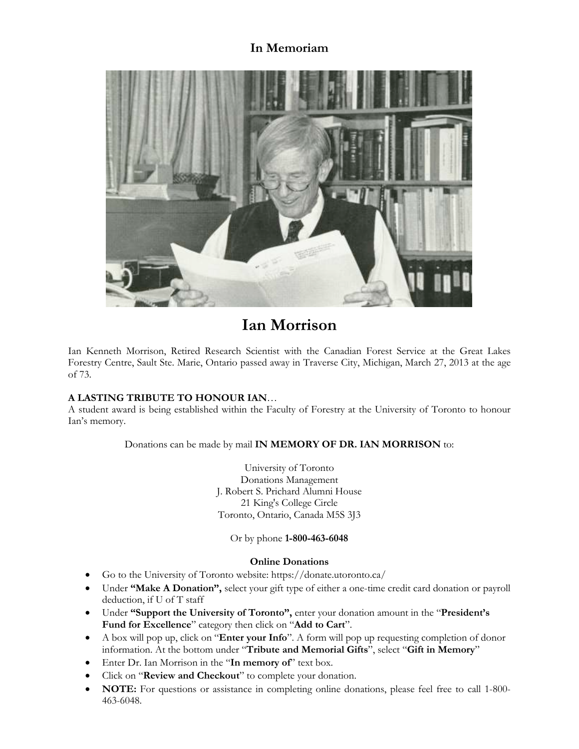## **In Memoriam**



# **Ian Morrison**

Ian Kenneth Morrison, Retired Research Scientist with the Canadian Forest Service at the Great Lakes Forestry Centre, Sault Ste. Marie, Ontario passed away in Traverse City, Michigan, March 27, 2013 at the age of 73.

#### **A LASTING TRIBUTE TO HONOUR IAN**…

A student award is being established within the Faculty of Forestry at the University of Toronto to honour Ian's memory.

Donations can be made by mail **IN MEMORY OF DR. IAN MORRISON** to:

University of Toronto Donations Management J. Robert S. Prichard Alumni House 21 King's College Circle Toronto, Ontario, Canada M5S 3J3

Or by phone **1-800-463-6048**

#### **Online Donations**

- Go to the University of Toronto website: https://donate.utoronto.ca/
- Under **"Make A Donation",** select your gift type of either a one-time credit card donation or payroll deduction, if U of T staff
- Under **"Support the University of Toronto",** enter your donation amount in the "**President's Fund for Excellence**" category then click on "**Add to Cart**".
- A box will pop up, click on "**Enter your Info**". A form will pop up requesting completion of donor information. At the bottom under "**Tribute and Memorial Gifts**", select "**Gift in Memory**"
- Enter Dr. Ian Morrison in the "**In memory of**" text box.
- Click on "**Review and Checkout**" to complete your donation.
- **NOTE:** For questions or assistance in completing online donations, please feel free to call 1-800-463-6048.